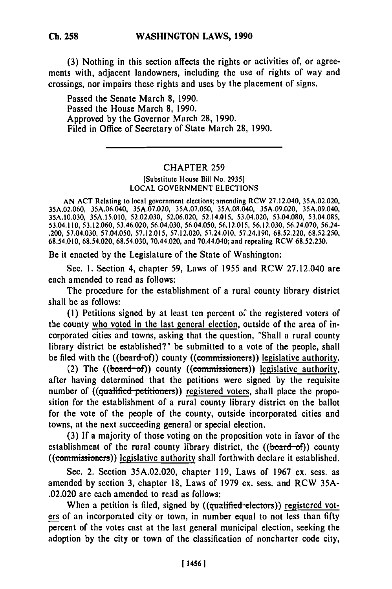**(3)** Nothing in this section affects the rights or activities of, or agreements with, adjacent landowners, including the use of rights of way and crossings, nor impairs these rights and uses **by** the placement of signs.

Passed the Senate March **8,** 1990. Passed the House March **8,** 1990. Approved **by** the Governor March **28,** 1990. Filed in Office of Secretary of State March **28,** 1990.

## CHAPTER 259

[Substitute House Bill No. **2935] LOCAL GOVERNMENT ELECTIONS**

AN **ACT** Relating to local government elections; amending RCW 27.12.040, 35A.02.020, **35A.02.060,** 35A.06.040, 35A.07.020, 35A.07.050, 35A.08.040, 35A.09.020, 35A.09.040, **35A.10.030, 35A.15.010,** 52.02.030, **52.06.020,** 52.14.015, 53.04.020, 53.04.080, 53.04.085, 53.04.110, 53.12.060, 53.46.020, 56.04.030, 56.04.050, **56.12.015, 56.12.030,** 56.24.070, 56.24- .200, 57.04.030, **57.04.050, 57.12.015, 57.12.020,** 57.24.010, **57.24.190, 68.52.220,** 68.52.250, 68.54.010, **68.54.020,** 68.54.030, 70.44.020, and 70.44.040; and repealing RCW 68.52.230.

Be it enacted **by** the Legislature of the State of Washington:

Sec. **1.** Section 4, chapter **59,** Laws of **1955** and RCW 27.12.040 are each amended to read as follows:

The procedure for the establishment of a rural county library district shall be as follows:

**(1)** Petitions signed by at least ten percent of the registered voters of the county who voted in the last general election, outside of the area of incorporated cities and towns, asking that the question, "Shall a rural county library district be established?" be submitted to a vote of the people, shall be filed with the ((board-of)) county ((commissioners)) legislative authority.

(2) The  $((board-of))$  county  $((commissioners))$  legislative authority, after having determined that the petitions were signed **by** the requisite number of ((qualified petitioners)) registered voters, shall place the proposition for the establishment of a rural county library district on the ballot for the vote of the people of the county, outside incorporated cities and towns, at the next succeeding general or special election.

**(3) If** a majority of those voting on the proposition vote in favor of the establishment of the rural county library district, the  $((*board-of*))$  county ((commissioners)) legislative authority shall forthwith declare it established.

Sec. 2. Section **35A.02.020,** chapter **119,** Laws of **1967** ex. sess. as amended **by** section **3,** chapter **18,** Laws of **1979** ex. sess. and RCW **35A-** .02.020 are each amended to read as follows:

When a petition is filed, signed by ((qualified electors)) registered voters of an incorporated city or town, in number equal to not less than **fifty** percent of the votes cast at the last general municipal election, seeking the adoption **by** the city or town of the classification of noncharter code city,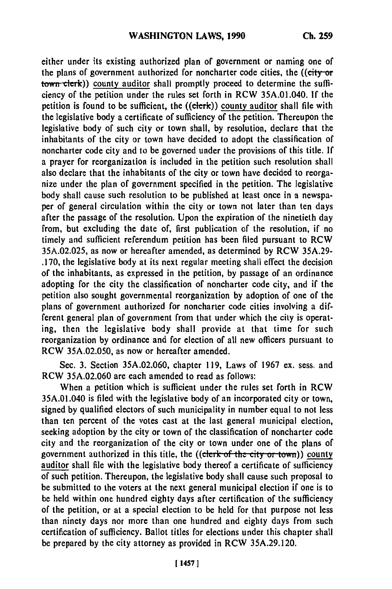either under its existing authorized plan of government or naming one of the plans of government authorized for noncharter code cities, the ((city-or town clerk)) county auditor shall promptly proceed to determine the sufficiency of the petition under the rules set forth in RCW 35A.01.040. **If** the petition is found to be sufficient, the  $((\text{eleck}))$  county auditor shall file with the legislative body a certificate of sufficiency of the petition. Thereupon the legislative body of such city or town shall, **by** resolution, declare that the inhabitants of the city or town have decided to adopt the classification of noncharter code city and to be governed under the provisions of this title. **If** a prayer for reorganization is included in the petition such resolution shall also declare that the inhabitants of the city or town have decided to reorganize under the plan of government specified in the petition. The legislative body shall cause such resolution to be published at least once in a newspaper of general circulation within the city or town not later than ten days after the passage of the resolution. Upon the expiration of the ninetieth day from, but excluding the date of, first publication of the resolution, if no timely and sufficient referendum petition has been filed pursuant to RCW 35A.02.025, as now or hereafter amended, as determined by RCW **35A.29- .170,** the legislative body at its next regular meeting shall effect the decision of the inhabitants, as expressed in the petition, **by** passage of an ordinance adopting for the city the classification of noncharter code city, and if the petition also sought governmental reorganization **by** adoption of one of the plans of government authorized for noncharter code cities involving a different general plan of government from that under which the city is operating, then the legislative body shall provide at that time for such reorganization **by** ordinance and for election of all new officers pursuant to RCW **35A.02.050,** as now or hereafter amended.

Sec. **3.** Section **35A.02.060,** chapter **119,** Laws of 1967 ex. sess. and RCW 35A.02.060 are each amended to read as follows:

When a petition which is sufficient under the rules set forth in RCW 35A.01.040 is filed with the legislative body of an incorporated city or town, signed **by** qualified electors of such municipality in number equal to not less than ten percent of the votes cast at the last general municipal election, seeking adoption **by** the city or town of the classification of noncharter code city and the reorganization of the city or town under one of the plans of government authorized in this title, the ((clerk of the city or town)) county auditor shall file with the legislative body thereof a certificate of sufficiency of such petition. Thereupon, the legislative body shall cause such proposal to be submitted to the voters at the next general municipal election if one is to be held within one hundred eighty days after certification of the sufficiency of the petition, or at a special election to be held for that purpose not less than ninety days nor more than one hundred and eighty days from such certification of sufficiency. Ballot titles for elections under this chapter shall be prepared **by** the city attorney as provided in RCW **35A.29.120.**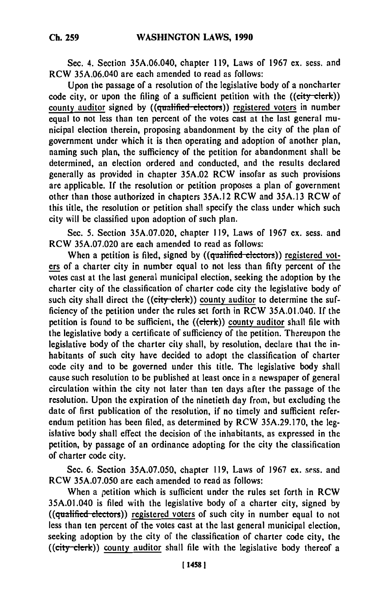Sec. 4. Section 35A.06.040, chapter **119,** Laws of 1967 **ex.** sess. and RCW **35A.06.040** are each amended to read as follows:

Upon the passage of a resolution of the legislative body of a noncharter code city, or upon the filing of a sufficient petition with the  $((\text{city-elerk}))$ county auditor signed by ((qualified electors)) registered voters in number equal to not less than ten percent of the votes cast at the last general municipal election therein, proposing abandonment **by** the city of the plan of government under which it is then operating and adoption of another plan, naming such plan, the sufficiency of the petition for abandonment shall be determined, an election ordered and conducted, and the results declared generally as provided in chapter **35A.02** RCW insofar as such provisions are applicable. **If** the resolution or petition proposes a plan of government other than those authorized in chapters **35A.12** RCW and **35A.13** RCW of this title, the resolution or petition shall specify the class under which such city will be classified upon adoption of such plan.

Sec. **5.** Section **35A.07.020,** chapter **119,** Laws of **1967** ex. sess. and RCW **35A.07.020** are each amended to read as follows:

When a petition is filed, signed by ((qualified electors)) registered voters of a charter city in number equal to not less than **fifty** percent of the votes cast at the last general municipal election, seeking the adoption **by** the charter city of the classification of charter code city the legislative body of such city shall direct the ((city clerk)) county auditor to determine the sufficiency of the petition under the rules set forth in RCW 35A.01.040. **If** the petition is found to be sufficient, the ((clerk)) county auditor shall file with the legislative body a certificate of sufficiency of the petition. Thereupon the legislative body of the charter city shall, **by** resolution, declare that the inhabitants of such city have decided to adopt the classification of charter code city and to be governed under this title. The legislative body shall cause such resolution to be published at least once in a newspaper of general circulation within the city not later than ten days after the passage of the resolution. Upon the expiration of the ninetieth day from, but excluding the date of first publication of the resolution, if no timely and sufficient referendum petition has been filed, as determined **by** RCW **35A.29.170,** the legislative body shall effect the decision of the inhabitants, as expressed in the petition, **by** passage of an ordinance adopting for the city the classification of charter code city.

Sec. **6.** Section **35A.07.050,** chapter **119,** Laws of **1967 ex.** sess. and RCW **35A.07.050** are each amended to read as follows:

When a petition which is sufficient under the rules set forth in RCW 35A.01.040 is filed with the legislative body of a charter city, signed **by** ((qualified electors)) registered voters of such city in number equal to not less than ten percent of the votes cast at the last general municipal election, seeking adoption **by** the city of the classification of charter code city, the ((city clerk)) county auditor shall file with the legislative body thereof a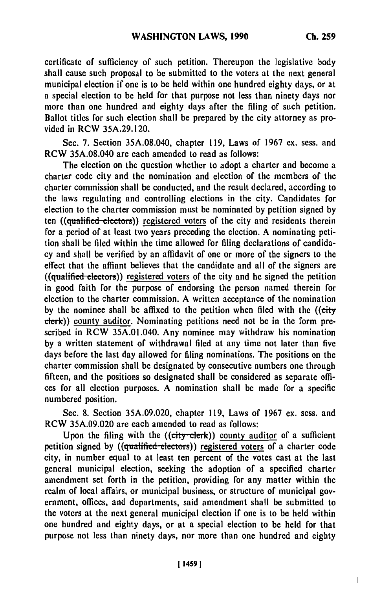certificate of sufficiency of such petition. Thereupon the legislative body shall cause such proposal to be submitted to the voters at the next general municipal election if one is to be held within one hundred eighty days, or at a special election to be held for that purpose not less than ninety days nor more than one hundred and eighty days after the filing of such petition. Ballot titles for such election shall be prepared **by** the city attorney as provided in RCW **35A.29.120.**

Sec. **7.** Section **35A.08.040,** chapter **119,** Laws of **1967** ex. sess. and RCW **35A.08.040** are each amended to read as follows:

The election on the question whether to adopt a charter and become a charter code city and the nomination and election of the members of the charter commission shall be conducted, and the result declared, according to the laws regulating and controlling elections in the city. Candidates for election to the charter commission must be nominated **by** petition signed **by** ten ((qualified electors)) registered voters of the city and residents therein for a period of at least two years preceding the election. A nominating petition shall be filed within the time allowed for filing declarations of candidacy and shall be verified **by** an affidavit of one or more of the signers to the effect that the affiant believes that the candidate and all of the signers are  $((qualified electrons))$  registered voters of the city and he signed the petition in good faith for the purpose of endorsing the person named therein for election to the charter commission. **A** written acceptance of the nomination **by** the nominee shall be affixed to the petition when filed with the ((city clerk)) county auditor. Nominating petitions need not be in the form prescribed in RCW 35A.01.040. Any nominee may withdraw his nomination **by** a written statement of withdrawal filed at any time not later than five days before the last day allowed for filing nominations. The positions on the charter commission shall be designated **by** consecutive numbers one through fifteen, and the positions so designated shall be considered as separate offices for all election purposes. **A** nomination shall be made for a specific numbered position.

Sec. **8.** Section **35A.09.020,** chapter **119,** Laws of **1967** ex. sess. and RCW **35A.09.020** are each amended to read as follows:

Upon the filing with the  $((city-elerk))$  county auditor of a sufficient petition signed **by** ((qualified-electors)) registered voters of a charter code city, in number equal to at least ten percent of the votes cast at the last general municipal election, seeking the adoption of a specified charter amendment set forth in the petition, providing for any matter within the realm of local affairs, or municipal business, or structure of municipal government, offices, and departments, said amendment shall be submitted to the voters at the next general municipal election if one is to be **held** within one hundred and eighty days, or at a special election to be held for that purpose not less than ninety days, nor more than one hundred and eighty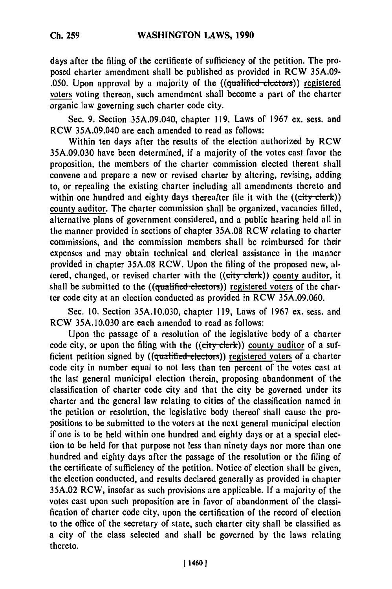days after the filing of the certificate of sufficiency of the petition. The proposed charter amendment shall be published as provided in RCW 35A.09- .050. Upon approval by a majority of the  $((qualified-electors))$  registered voters voting thereon, such amendment shall become a part of the charter organic law governing such charter code city.

Sec. 9. Section 35A.09.040, chapter 119, Laws of 1967 ex. sess. and RCW 35A.09.040 are each amended to read as follows:

Within ten days after the results of the election authorized by RCW 35A.09.030 have been determined, if a majority of the votes cast favor the proposition, the members of the charter commission elected thereat shall convene and prepare a new or revised charter by altering, revising, adding to, or repealing the existing charter including all amendments thereto and within one hundred and eighty days thereafter file it with the ((city-clerk)) county auditor. The charter commission shall be organized, vacancies filled, alternative plans of government considered, and a public hearing held all in the manner provided in sections of chapter 35A.08 RCW relating to charter commissions, and the commission members shall be reimbursed for their expenses and may obtain technical and clerical assistance in the manner provided in chapter 35A.08 RCW. Upon the filing of the proposed new, altered, changed, or revised charter with the ((city clerk)) county auditor, it shall be submitted to the ((qualified electors)) registered voters of the charter code city at an election conducted as provided in RCW 35A.09.060.

Sec. 10. Section 35A.10.030, chapter 119, Laws of 1967 ex. sess. and RCW 35A.10.030 are each amended to read as follows:

Upon the passage of a resolution of the legislative body of a charter code city, or upon the filing with the ((city clerk)) county auditor of a sufficient petition signed by ((qualified electors)) registered voters of a charter code city in number equal to not less than ten percent of the votes cast at the last general municipal election therein, proposing abandonment of the classification of charter code city and that the city be governed under its charter and the general law relating to cities of the classification named in the petition or resolution, the legislative body thereof shall cause the propositions to be submitted to the voters at the next general municipal election if one is to be held within one hundred and eighty days or at a special election to be held for that purpose not less than ninety days nor more than one hundred and eighty days after the passage of the resolution or the filing of the certificate of sufficiency of the petition. Notice of election shall be given, the election conducted, and results declared generally as provided in chapter 35A.02 RCW, insofar as such provisions are applicable. **If** a majority of the votes cast upon such proposition are in favor of abandonment of the classification of charter code city, upon the certification of the record of election to the office of the secretary of state, such charter city shall be classified as a city of the class selected and shall be governed by the laws relating thereto.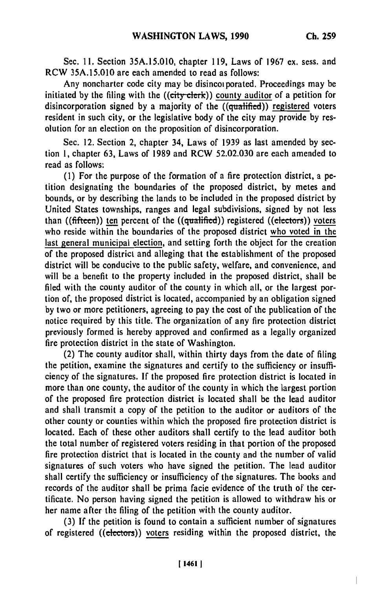$\overline{\phantom{a}}$ 

Sec. **11.** Section 35A.15.010, chapter 119, Laws of 1967 ex. sess. and RCW 35A.15.010 are each amended to read as follows:

Any noncharter code city may be disincoiporated. Proceedings may be initiated by the filing with the  $((\text{city-elerk}))$  county auditor of a petition for disincorporation signed by a majority of the  $((qualified))$  registered voters resident in such city, or the legislative body of the city may provide by resolution for an election on the proposition of disincorporation.

Sec. 12. Section 2, chapter 34, Laws of 1939 as last amended by section 1, chapter 63, Laws of 1989 and RCW 52.02.030 are each amended to read as follows:

(1) For the purpose of the formation of a fire protection district, a petition designating the boundaries of the proposed district, by metes and bounds, or by describing the lands to be included in the proposed district by United States townships, ranges and legal subdivisions, signed by not less than ((fifteen)) ten percent of the ((qualified)) registered ((electors)) voters who reside within the boundaries of the proposed district who voted in the last general municipal election, and setting forth the object for the creation of the proposed district and alleging that the establishment of the proposed district will be conducive to the public safety, welfare, and convenience, and will be a benefit to the property included in the proposed district, shall be filed with the county auditor of the county in which all, or the largest portion of, the proposed district is located, accompanied by an obligation signed by two or more petitioners, agreeing to pay the cost of the publication of the notice required by this title. The organization of any fire protection district previously formed is hereby approved and confirmed as a legally organized fire protection district in the state of Washington.

(2) The county auditor shall, within thirty days from the date of filing the petition, examine the signatures and certify to the sufficiency or insufficiency of the signatures. If the proposed fire protection district is located in more than one county, the auditor of the county in which the largest portion of the proposed fire protection district is located shall be the lead auditor and shall transmit a copy of the petition to the auditor or auditors of the other county or counties within which the proposed fire protection district is located. Each of these other auditors shall certify to the lead auditor both the total number of registered voters residing in that portion of the proposed fire protection district that is located in the county and the number of valid signatures of such voters who have signed the petition. The lead auditor shall certify the sufficiency or insufficiency of the signatures. The books and records of the auditor shall be prima facie evidence of the truth of' the certificate. No person having signed the petition is allowed to withdraw his or her name after the filing of the petition with the county auditor.

(3) If the petition is found to contain a sufficient number of signatures of registered ((electors)) voters residing within the proposed district, the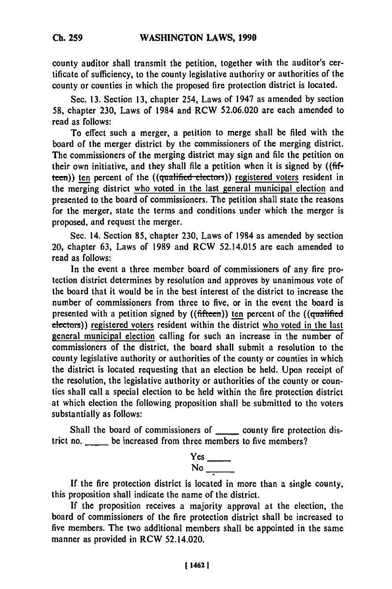county auditor shall transmit the petition, together with the auditor's certificate of sufficiency, to the county legislative authority or authorities of the county or counties in which the proposed fire protection district is located.

Sec. **13.** Section **13,** chapter 254, Laws of 1947 as amended **by** section **58,** chapter **230,** Laws of 1984 and RCW **52.06.020** are each amended to read as follows:

To effect such a merger, a petition to merge shall be filed with the board of the merger district **by** the commissioners of the merging district. The commissioners of the merging district may sign and file the petition on their own initiative, and they shall file a petition when it is signed **by** ((fifteen)) ten percent of the ((qualified electors)) registered voters resident in the merging district who voted in the last general municipal election and presented to the board of commissioners. The petition shall state the reasons for the merger, state the terms and conditions under which the merger is proposed, and request the merger.

Sec. 14. Section **85,** chapter **230,** Laws of 1984 as amended **by** section 20, chapter **63,** Laws of 1989 and RCW 52.14.015 are each amended to read as follows:

In the event a three member board of commissioners of any fire protection district determines **by** resolution and approves **by** unanimous vote of the board that it would be in the best interest of the district to increase the number of commissioners from three to five, or in the event the board is presented with a petition signed **by** ((fifteen)) **ten** percent of the ((qualified electors)) registered voters resident within the district who voted in the last general municipal election calling for such an increase in the number of commissioners of the district, the board shall submit a resolution to the county legislative authority or authorities of the county or counties in which the district is located requesting that an election be held. Upon receipt of the resolution, the legislative authority or authorities of the county or counties shall call a special election to be held within the fire protection district at which election the following proposition shall be submitted to the voters substantially as follows:

Shall the board of commissioners of \_\_\_\_\_\_ county fire protection district no. be increased from three members to five members?

> Yes  $No$

If the fire protection district is located in more than a single county, this proposition shall indicate the name of the district.

**If** the proposition receives a majority approval at the election, the board of commissioners of the fire protection district shall be increased to five members. The two additional members shall be appointed in the same manner as provided in RCW 52.14.020.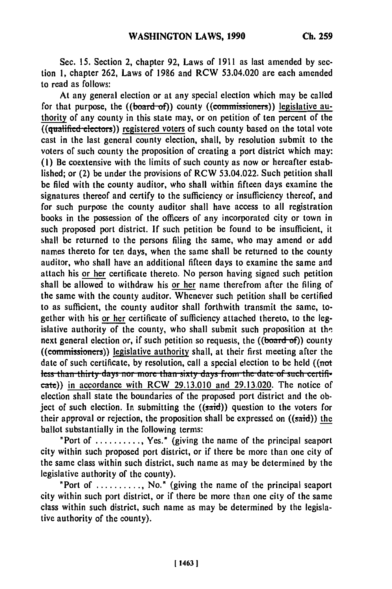Sec. **15.** Section 2, chapter **92,** Laws of **1911** as last amended **by** section **1,** chapter **262,** Laws of **1986** and RCW 53.04.020 are each amended to read as follows:

At any general election or at any special election which may be called for that purpose, the ((board-of)) county ((commissioners)) legislative authority of any county in this state may, or on petition of ten percent of the  $($ ( $qualified$  $electors)$ ) registered voters of such county based on the total vote cast in the last general county election, shall, **by** resolution submit to the voters of such county the proposition of creating a port district which may: **(1)** Be coextensive with the limits of such county as now or hereafter established; or (2) be under the provisions of RCW 53.04.022. Such petition shall be filed with the county auditor, who shall within fifteen days examine the signatures thereof and certify to the sufficiency or insufficiency thereof, and for such purpose the county auditor shall have access to all registration books in the possession of the officers of any incorporated city or town in such proposed port district. **If** such petition be found to be insufficient, it shall be returned to the persons filing the same, who may amend or add names thereto for ten days, when the same shall **be** returned to the county auditor, who shall have an additional fifteen days to examine the same and attach his or her certificate thereto. No person having signed such petition shall be allowed to withdraw his or her name therefrom after the filing of the same with the county auditor. Whenever such petition shall be certified to as sufficient, the county auditor shall forthwith transmit the same, together with his or her certificate of sufficiency attached thereto, to the legislative authority of the county, who shall submit such proposition at **the** next general election or, if such petition so requests, the ((board of)) county ((commissioners)) legislative authority shall, at their first meeting after the date of such certificate, **by** resolution, call a special election to be held ((not less than thirty days nor more than sixty days from the date of such certifive cate)) in accordance with RCW 29.13.010 and 29.13.020. The notice of election shall state the boundaries of the proposed port district and the object of such election. In submitting the  $((said))$  question to the voters for their approval or rejection, the proposition shall be expressed on  $((said))$  the ballot substantially in the following terms:

"Port of .......... , Yes." (giving the name of the principal seaport city within such proposed port district, or if there be more than one city of the same class within such district, such name as may be determined **by** the legislative authority of the county).

"Port of ........, No." (giving the name of the principal seaport city within such port district, or if there be more than one city of the same class within such district, such name as may be determined **by** the legislative authority of the county).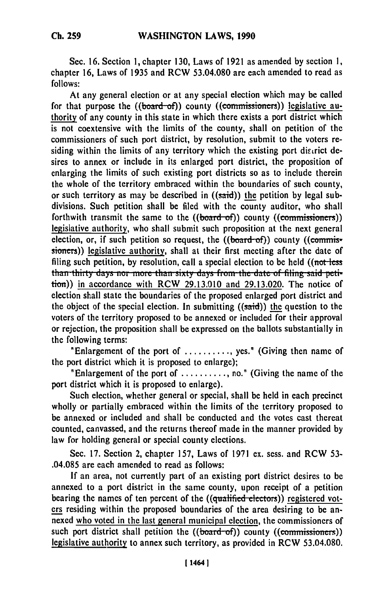Sec. **16.** Section **1,** chapter **130,** Laws of **1921** as amended **by** section **1,** chapter **16,** Laws of **1935** and RCW **53.04.080** are each amended to read as **follows:**

At any general election or at any special election which may be called for that purpose the ((board-of)) county ((commissioners)) legislative authority of any county in this state in which there exists a port district which is not coextensive with the limits of the county, shall on petition of the commissioners of such port district, **by** resolution, submit to the voters residing within the limits of any territory which the existing port discrict desires to annex or include in its enlarged port district, the proposition of enlarging the limits of such existing port districts so as to include therein the whole of the territory embraced within the boundaries of such county, or such territory as may be described in ((said)) the petition **by** legal subdivisions. Such petition shall be filed with the county auditor, who shall forthwith transmit the same to the  $((**board-of**))$  county  $((**commissioners**))$ legislative authority, who shall submit such proposition at the next general election, or, if such petition so request, the ((board-of)) county **((commis**sioners)) legislative authority, shall at their first meeting after the date of filing such petition, **by** resolution, call a special election to be held ((not-less than thirty days nor more than sixty days from the date of filing said peti-<br>tion)) in accordance with RCW 29.13.010 and 29.13.020. The notice of election shall state the boundaries of the proposed enlarged port district and the object of the special election. In submitting  $((said))$  the question to the voters of the territory proposed to be annexed or included for their approval or rejection, the proposition shall be expressed on the ballots substantially in the following terms:

"Enlargement of the port of ........... **yes."** (Giving then name of the port district which it is proposed to enlarge);

"Enlargement of the port of ........... no." (Giving the name of **the** port district which it is proposed to enlarge).

Such election, whether general or special, shall be held in each precinct wholly or partially embraced within the limits of the territory proposed to be annexed or included and shall be conducted and the votes cast thereat counted, canvassed, and the returns thereof made in the manner provided **by** law for holding general or special county elections.

Sec. **17.** Section 2, chapter 157, Laws of **1971** ex. sess. and RCW **53-** .04.085 are each amended to read as follows:

**If** an area, not currently part of an existing port district desires to be annexed to a port district in the same county, upon receipt of a petition bearing the names of ten percent of the ((qualified electors)) registered voters residing within the proposed boundaries of the area desiring to be annexed who voted in the last general municipal election, the commissioners of such port district shall petition the ((board-of)) county ((commissioners)) legislative authority to annex such territory, as provided in RCW **53.04.080.**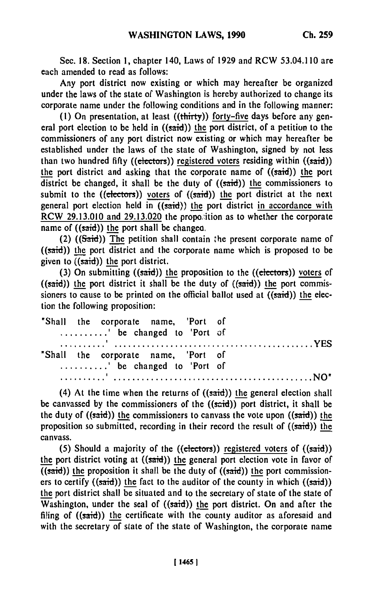Sec. **18.** Section **1,** chapter 140, Laws of 1929 and RCW 53.04.110 are each amended to read as follows:

Any port district now existing or which may hereafter be organized under the laws of the state of Washington is hereby authorized to change its corporate name under the following conditions and in the following manner:

**(1)** On presentation, at least ((thirty)) forty-five days before any general port election to be held in  $((said))$  the port district, of a petition to the commissioners of any port district now existing or which may hereafter be established under the laws of the state of Washington, signed **by** not less than two hundred fifty ((electors)) registered voters residing within ((said)) the port district and asking that the corporate name of ((said)) **the** port district be changed, it shall be the duty of  $((said))$  the commissioners to submit to the ((electors)) voters of ((said)) the port district at the next general port election held in  $((said))$  the port district in accordance with RCW **29.13.010** and **29.13.020** the propo,:ition as to whether the corporate name of  $((said))$  the port shall be changed.

(2) ( $(Said)$ ) The petition shall contain the present corporate name of ((said)) the port district and the corporate name which is proposed to be given to  $((said))$  the port district.

**(3)** On submitting ((said)) **the** proposition to the **((electors))** voters of  $((said))$  the port district it shall be the duty of  $((said))$  the port commissioners to cause to be printed on the official ballot used at  $((said))$  the election the following proposition:

|  | "Shall the corporate name, 'Port of |  |
|--|-------------------------------------|--|
|  | ' be changed to 'Port of            |  |
|  |                                     |  |
|  | "Shall the corporate name, 'Port of |  |
|  | ' be changed to 'Port of            |  |
|  |                                     |  |

(4) At the time when the returns of  $((said))$  the general election shall be canvassed **by** the commissioners of the ((said)) port district, it shall be the duty of  $((said))$  the commissioners to canvass the vote upon  $((said))$  the proposition so submitted, recording in their record the result of  $((said))$  the canvass.

**(5)** Should a majority of the ((electors)) registered voters of ((said)) the port district voting at  $((said))$  the general port election vote in favor of  $($ (said)) the proposition it shall be the duty of ((said)) the port commissioners to certify ((said)) the fact to the auditor of the county in which ((said)) the port district shall be situated and to the secretary of state of the state of Washington, under the seal of  $((said))$  the port district. On and after the filing of  $((said))$  the certificate with the county auditor as aforesaid and with the secretary **of** state of the state of Washington, the corporate name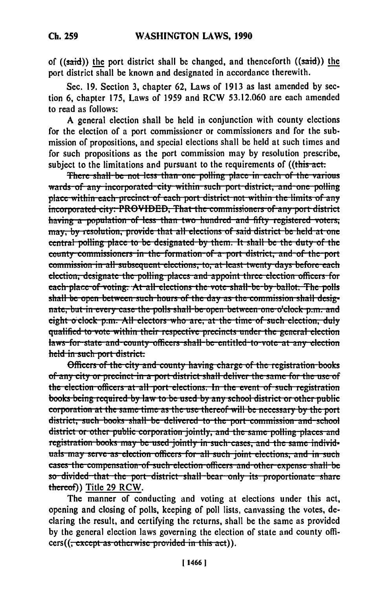of ((said)) the port district shall be changed, and thenceforth ((said)) **the** port district shall be known and designated in accordance therewith.

Sec. **19.** Section **3,** chapter **62,** Laws of **1913** as last amended **by** section **6,** chapter **175,** Laws of **1959** and RCW **53.12.060** are each amended to read as follows:

**A** general election shall be held in conjunction with county elections for the election of a port commissioner or commissioners and for the submission of propositions, and special elections shall be held at such times and for such propositions as the port commission may **by** resolution prescribe, subject to the limitations and pursuant to the requirements of ((this-act.

**There shall be not less than one polling place in each of the various wards of any incorporated city within such port district, and one polling** place within each precinct of each port district not within the limits of any **incorporated city. PROVIDED. That the commissioners of any port district** having a population of less than two hundred and fifty registered voters, may, by resolution, provide that all elections of said district be held at one central polling place to be designated by them. It shall be the duty of the **county commissioners in the formation of a port district, and of the port** commission in all subsequent elections, to, at least twenty days before each election, designate the polling places and appoint three election officers for each place of voting. At all elections the vote shall be by ballot. The polls ready place of voting. At an elections the vote shall be by banot. The pons<br>shall be open between such hours of the day as the commission shall designate, but in every case the polls shall be open between one o'clock p.m. and eight o clock p.m. All electors who are, at the time of such election, duly qualified to vote within their respective precincts under the general election laws for state and county officers shall be entitled to vote at any election

moders of the city and county having charge of the registration book<br>Officers of the city and county having charge of the registration book of any city or precinct in a port district shall deliver the same for the use of the election officers at all port elections. In the event of such registration books being required by law to be used by any school district or other public corporation at the same time as the use thereof will be necessary by the port district, such books shall be delivered to the port commission and school district or other public corporation jointly, and the same polling places and registration books may be used jointly in such cases, and the same individuals may serve as election officers for all such joint elections, and in such cases the compensation of such election officers and other expense shall be so divided that the port district shall bear only its proportionate share thetrcof) Title **29** RCW.

The manner of conducting and voting at elections under this act, opening and closing of polls, keeping of poll lists, canvassing the votes, declaring the result, and certifying the returns, shall be the same as provided **by** the general election laws governing the election of state and county officers((<del>, except as otherwise provided in this act</del>)).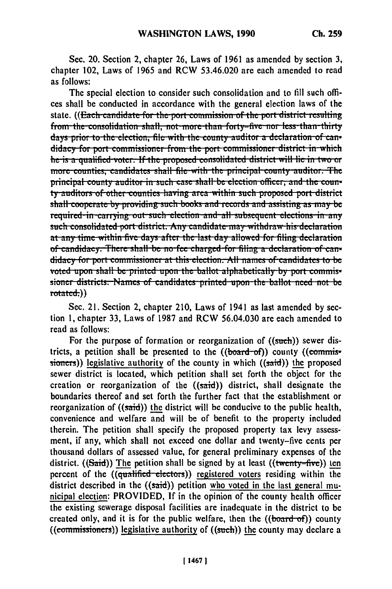Sec. 20. Section 2, chapter **26,** Laws of **1961** as amended **by** section **3,** chapter 102, Laws of 1965 and RCW **53.46.020** are each amended to read as follows:

The special election to consider such consolidation and to **fill** such offices shall be conducted in accordance with the general election laws of the state. ((Each candidate for the port commission of the port district resulting from the consolidation shall, not more than forty-five nor less than thirty<br>days prior to the election. file with the county auditor a declaration of candidacy for port commissioner from the port commissioner district in which<br>he is a qualified voter. If the proposed consolidated district will lie in two or more counties, candidates shall file with the principal county auditor. The principal county auditor in such case shall be election officer, and the counprincipar county auditor in such case share be election officer; and the coun-<br>t<del>y auditors of other counties having area within such proposed port-district</del> ty auditors of other counties having area within such proposed port di-<br>aball cooperate hy accuiding such boaks and seconds and essisting as as shall cooperate by providing such books and records and assisting as may be<br>required in carrying out such election and all subsequent elections in any such consolidated port district. Any candidate may withdraw his declaration at any time within five days after the last day allowed for filing declaration of candidacy. There shall be no fee charged for filing a declaration of candidacy for port commissioner at this election. All names of candidates to be voted upon shall be printed upon the ballot alphabetically by port commissioner districts. Names of candidates printed upon the ballot need not be rotatcd.))

Sec. 21. Section 2, chapter 210, Laws of 1941 as last amended **by** section **1,** chapter **33,** Laws of **1987** and RCW **56.04.030** are each amended to read as follows:

For the purpose of formation or reorganization of ((such)) sewer districts, a petition shall be presented to the  $((**board-of**))$  county  $((**commis**$ sioners)) legislative authority of the county in which  $((said))$  the proposed sewer district is located, which petition shall set forth the object for the creation or reorganization of the  $((said))$  district, shall designate the boundaries thereof and set forth the further fact that the establishment or reorganization of  $((said))$  the district will be conducive to the public health, convenience and welfare and will be of benefit to the property included therein. The petition shall specify the proposed property tax levy assessment, if any, which shall not exceed one dollar and twenty-five cents per thousand dollars of assessed value, for general preliminary expenses of the district. ((Said)) The petition shall be signed by at least ((twenty-five)) ten percent of the ((qualified-electors)) registered voters residing within the district described in the  $((said))$  petition who voted in the last general municipal election: PROVIDED, **If** in the opinion of the county health officer the existing sewerage disposal facilities are inadequate in the district to be created only, and it is for the public welfare, then the  $((board of))$  county  $((commissioners))$  legislative authority of  $((such))$  the county may declare a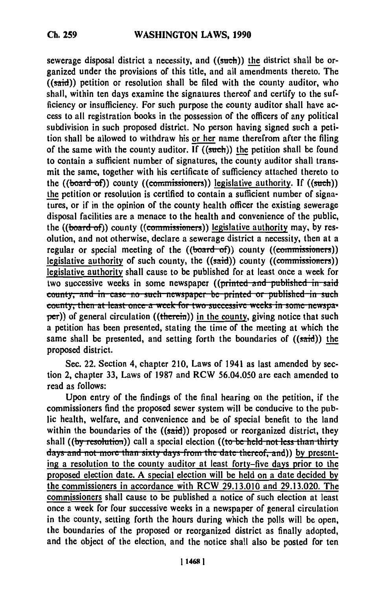sewerage disposal district a necessity, and ((such)) the district shall **be** organized under the provisions of this title, and all amendments thereto. The  $((said))$  petition or resolution shall be filed with the county auditor, who shall, within ten days examine the signatures thereof and certify to the sufficiency or insufficiency. For such purpose the county auditor shall have access to all registration books in the possession of the officers of any political subdivision in such proposed district. No person having signed such a petition shall be allowed to withdraw his or her name therefrom after the filing of the same with the county auditor. If  $((such))$  the petition shall be found to contain a sufficient number of signatures, the county auditor shall transmit the same, together with his certificate of sufficiency attached thereto to the ((board-of)) county ((commissioners)) legislative authority. If ((such)) the petition or resolution is certified to contain a sufficient number of signatures, or if in the opinion of the county health officer the existing sewerage disposal facilities are a menace to the health and convenience of the public, the ((board-of)) county ((commissioners)) legislative authority may, by resolution, and not otherwise, declare a sewerage district a necessity, then at a regular or special meeting of the  $((**board-of**))$  county  $((**commissioners**))$ legislative authority of such county, the ((said)) county ((commissioners)) legislative authority shall cause to be published for at least once a week for two successive weeks in some newspaper ((printed and published in said **county, and in case no such newspaper be printed or published in such county, then at least once a week for two successive weeks in some newspa**per)) of general circulation ((therein)) in the county, giving notice that such a petition has been presented, stating the time of the meeting at which the same shall be presented, and setting forth the boundaries of  $((said))$  the proposed district.

Sec. 22. Section 4, chapter 210, Laws of 1941 as last amended **by** section 2, chapter 33, Laws of **1987** and RCW 56.04.050 are each amended to read as follows:

Upon entry of the findings of the final hearing on the petition, if the commissioners find the proposed sewer system will be conducive to the public health, welfare, and convenience and be of special benefit to the land within the boundaries of the  $((said))$  proposed or reorganized district, they shall ((by resolution)) call a special election ((to be held not less than thirty days and not more than sixty days from the date thereof, and)) by presenting a resolution to the county auditor at least forty-five days prior to the proposed election date. A special election will be held on a date decided **by** the commissioners in accordance with RCW **29.13.010** and 29.13.020. The commissioners shall cause to be published a notice of such election at least once a week for four successive weeks in a newspaper of general circulation in the county, setting forth the hours during which the polls will be open, the boundaries of the proposed or reorganized district as finally adopted, and the object of the election, and the notice shall also be posted for ten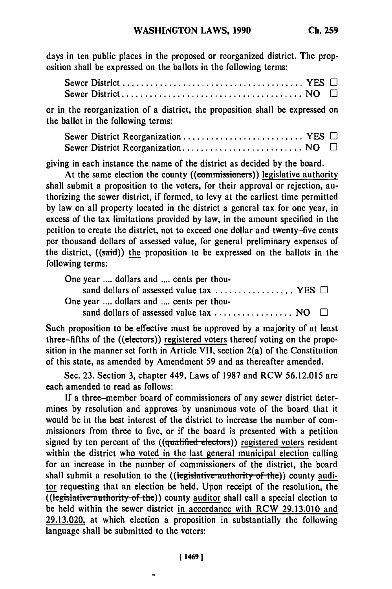days in ten public places in the proposed or reorganized district. The proposition shall be expressed on the ballots in the following terms:

or in the reorganization of a district, the proposition shall be expressed on the ballot in the following terms:

|  | Sewer District Reorganization  YES $\Box$ |  |
|--|-------------------------------------------|--|
|  |                                           |  |

giving in each instance the name of the district as decided **by** the board.

At the same election the county ((commissioners)) legislative authority shall submit a proposition to the voters, for their approval or rejection, authorizing the sewer district, if formed, to levy at the earliest time permitted **by** law on all property located in the district a general tax for one year, in excess of the tax limitations provided **by** law, in the amount specified in the petition to create the district, not to exceed one dollar and twenty-five cents per thousand dollars of assessed value, for general preliminary expenses of the district, ((said)) the proposition to be expressed on the ballots in the following terms:

| One year  dollars and  cents per thou-         |  |
|------------------------------------------------|--|
| sand dollars of assessed value tax  YES $\Box$ |  |
| One year  dollars and  cents per thou-         |  |
|                                                |  |

Such proposition to be effective must be approved **by** a majority of at least three-fifths of the ((electors)) registered voters thereof voting on the proposition in the manner set forth in Article VII, section 2(a) of the Constitution of this state, as amended **by** Amendment **59** and as thereafter amended.

Sec. **23.** Section **3,** chapter 449, Laws of **1987** and RCW **56.12.015** are each amended to read as follows:

**If** a three-member board of commissioners of any sewer district determines **by** resolution and approves **by** unanimous vote of the board that it would be in the best interest of the district to increase the number of commissioners from three to five, or if the board is presented with a petition signed by ten percent of the ((qualified electors)) registered voters resident within the district who voted in the last general municipal election calling for an increase in the number of commissioners of the district, the board shall submit a resolution to the ((legislative authority of the)) county auditor requesting that an election be held. Upon receipt of the resolution, the  $\overline{(\text{legislative authority of the})}$  county auditor shall call a special election to be held within the sewer district in accordance with RCW **29.13.010** and **29.13.020,** at which election a proposition in substantially the following language shall be submitted to the voters: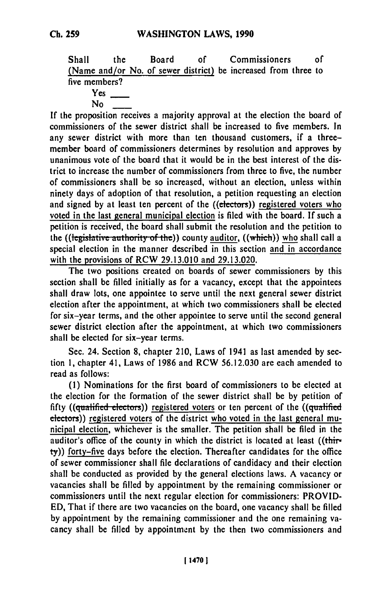Shall the Board **of** Commissioners **of** (Name and/or No. of sewer district) be increased from three to five members?

Yes

No

If the proposition receives a majority approval at the election the board of commissioners of the sewer district shall be increased to five members. In any sewer district with more than ten thousand customers, if a threemember board of commissioners determines by resolution and approves by unanimous vote of the board that it would be in the best interest of the district to increase the number of commissioners from three to five, the number of commissioners shall be so increased, without an election, unless within ninety days of adoption of that resolution, a petition requesting an election and signed by at least ten percent of the ((electors)) registered voters who voted in the last general municipal election is filed with the board. If such a petition is received, the board shall submit the resolution and the petition to the ((legislative authority of the)) county auditor, ((which)) who shall call a special election in the manner described in this section and in accordance with the provisions of RCW 29.13.010 and 29.13.020.

The two positions created on boards of sewer commissioners by this section shall be filled initially as for a vacancy, except that the appointees shall draw lots, one appointee to serve until the next general sewer district election after the appointment, at which two commissioners shall be elected for six-year terms, and the other appointee to serve until the second general sewer district election after the appointment, at which two commissioners shall be elected for six-year terms.

Sec. 24. Section **8,** chapter 210, Laws of 1941 as last amended by section **1,** chapter 41, Laws of 1986 and RCW 56.12.030 are each amended to read as follows:

**(1)** Nominations for the first board of commissioners to be elected at the election for the formation of the sewer district shall be by petition of fifty ((qualified electors)) registered voters or ten percent of the ((qualified electors)) registered voters of the district who voted in the last general municipal election, whichever is the smaller. The petition shall be filed in the auditor's office of the county in which the district is located at least ((thirty)) forty-five days before the election. Thereafter candidates for the office of sewer commissioner shall file declarations of candidacy and their election shall be conducted as provided by the general elections laws. A vacancy or vacancies shall be filled by appointment by the remaining commissioner or commissioners until the next regular election for commissioners: PROVID-**ED,** That if there are two vacancies on the board, one vacancy shall be filled by appointment by the remaining commissioner and the one remaining vacancy shall be filled by appointment by the then two commissioners and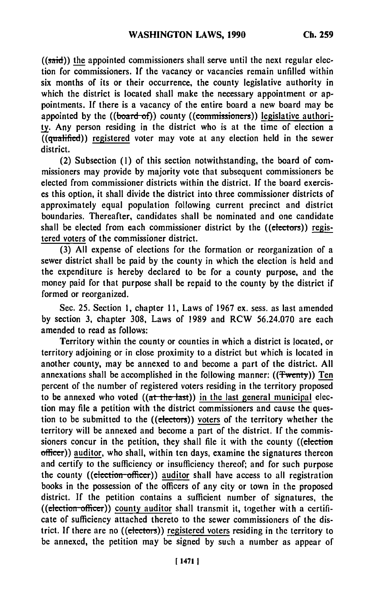$((said))$  the appointed commissioners shall serve until the next regular election for commissioners. **If** the vacancy or vacancies remain unfilled within six months of its or their occurrence, the county legislative authority in which the district is located shall make the necessary appointment or appointments. **If** there is a vacancy of the entire board a new board may be appointed by the ((board-of)) county ((commissioners)) legislative authori**ty.** Any person residing in the district who is at the time of election a  $\overline{((qualified)})$  registered voter may vote at any election held in the sewer district.

(2) Subsection **(1)** of this section notwithstanding, the board of commissioners may provide **by** majority vote that subsequent commissioners be elected from commissioner districts within the district. **If** the board exercises this option, it shall divide the district into three commissioner districts of approximately equal population following current precinct and district boundaries. Thereafter, candidates shall be nominated and one candidate shall be elected from each commissioner district by the ((electors)) registered voters of the commissioner district.

**(3) All** expense of elections for the formation or reorganization of a sewer district shall be paid **by** the county in which the election is held and the expenditure is hereby declared to be for a county purpose, and the money paid for that purpose shall be repaid to the county **by** the district if formed or reorganized.

Sec. **25.** Section **1,** chapter **11,** Laws of **1967** ex. sess. as last amended **by** section **3,** chapter **308,** Laws of **1989** and RCW **56.24.070** are each amended to read as follows:

Territory within the county or counties in which a district is located, or territory adjoining or in close proximity to a district but which is located in another county, may **be** annexed to and become a part of the district. **All** annexations shall be accomplished in the following manner: ((Twenty)) Ten percent of the number of registered voters residing in the territory proposed to be annexed who voted  $((at the last))$  in the last general municipal election may file a petition with the district commissioners and cause the question to be submitted to the ((electors)) voters of the territory whether the territory will be annexed and become a part of the district. **If** the commissioners concur in the petition, they shall file it with the county ((election officer)) auditor, who shall, within ten days, examine the signatures thereon and certify to the sufficiency or insufficiency thereof; and for such purpose the county ((election-officer)) auditor shall have access to all registration books in the possession of the officers of any city or town in the proposed district. If the petition contains a sufficient number of signatures, the  $((election-officer))$  county auditor shall transmit it, together with a certificate of sufficiency attached thereto to the sewer commissioners of the district. If there are no ((electors)) registered voters residing in the territory to be annexed, the petition may be signed by such a number as appear of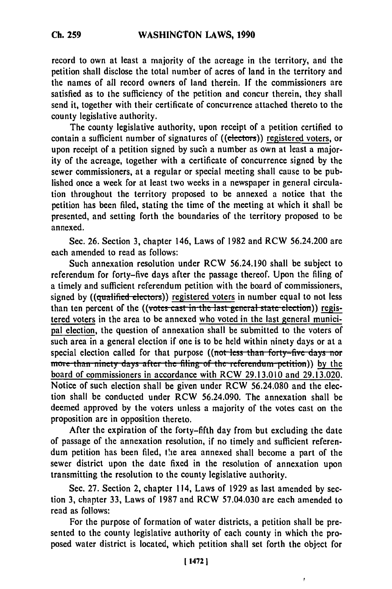record to own at least a majority of the acreage in the territory, and the petition shall disclose the total number of acres of land in the territory and the names of all record owners of land therein. **If** the commissioners are satisfied as to the sufficiency of the petition and concur therein, they shall send it, together with their certificate of concurrence attached thereto to the county legislative authority.

The county legislative authority, upon receipt of a petition certified to contain a sufficient number of signatures of ((electors)) registered voters, or upon receipt of a petition signed **by** such a number as own at least a majority of the acreage, together with a certificate of concurrence signed **by** the sewer commissioners, at a regular or special meeting shall cause to be published once a week for at least two weeks in a newspaper in general circulation throughout the territory proposed to be annexed a notice that the petition has been filed, stating the time of the meeting at which it shall be presented, and setting forth the boundaries of the territory proposed to be annexed.

Sec. **26.** Section **3,** chapter 146, Laws of **1982** and RCW 56.24.200 are each amended to read as follows:

Such annexation resolution under RCW 56.24.190 shall be subject to referendum for forty-five days after the passage thereof. Upon the filing of a timely and sufficient referendum petition with the board of commissioners, signed by ((qualified electors)) registered voters in number equal to not less than ten percent of the ((votes cast in the last general state election)) registered voters in the area to be annexed who voted in the last general municipal election, the question of annexation shall be submitted to the voters of such area in a general election if one is to be held within ninety days or at a special election called for that purpose ((not less than forty-five days nor more than ninety days after the filing of the referendum-petition)) by the board of commissioners in accordance with RCW **29.13.010** and **29.13.020.** Notice of such election shall be given under RCW 56.24.080 and the election shall be conducted under RCW 56.24.090. The annexation shall be deemed approved by the voters unless a majority of the votes cast on the proposition are in opposition thereto.

After the expiration of the forty-fifth day from but excluding the date of passage of the annexation resolution, if no timely and sufficient referendum petition has been filed, the area annexed shall become a part of the sewer district upon the date fixed in the resolution of annexation upon transmitting the resolution to the county legislative authority.

Sec. 27. Section 2, chapter 114, Laws of 1929 as last amended by section 3, chapter 33, Laws of 1987 and RCW 57.04.030 are each amended to read as follows:

For the purpose of formation of water districts, a petition shall be presented to the county legislative authority of each county in which the proposed water district is located, which petition shall set forth the object for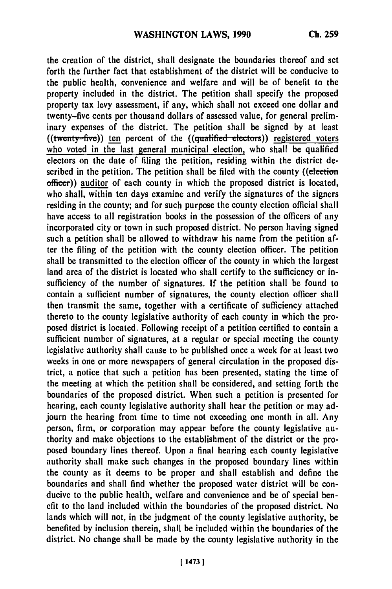the creation of the district, shall designate the boundaries thereof and set forth the further fact that establishment of the district will be conducive to the public health, convenience and welfare and will be of benefit to the property included in the district. The petition shall specify the proposed property tax levy assessment, if any, which shall not exceed one dollar and twenty-five cents per thousand dollars of assessed value, for general preliminary expenses of the district. The petition shall be signed **by** at least  $((\text{twenty-five}))$  ten percent of the  $((\text{qualified-electors}))$  registered voters who voted in the last general municipal election, who shall be qualified electors on the date of filing the petition, residing within the district described in the petition. The petition shall be filed with the county ((election officer)) auditor of each county in which the proposed district is located, who shall, within ten days examine and verify the signatures of the signers residing in the county; and for such purpose the county election official shall have access to all registration books in the possession of the officers of any incorporated city or town in such proposed district. No person having signed such a petition shall be allowed to withdraw his name from the petition after the filing of the petition with the county election officer. The petition shall be transmitted to the election officer of the county in which the largest land area of the district is located who shall certify to the sufficiency or insufficiency of the number of signatures. **If** the petition shall be found to contain a sufficient number of signatures, the county election officer shall then transmit the same, together with a certificate of sufficiency attached thereto to the county legislative authority of each county in which the proposed district is located. Following receipt of a petition certified to contain a sufficient number of signatures, at a regular or special meeting the county legislative authority shall cause to be published once a week for at least two weeks in one or more newspapers of general circulation in the proposed district, a notice that such a petition has been presented, stating the time of the meeting at which the petition shall be considered, and setting forth the boundaries of the proposed district. When such a petition is presented for hearing, each county legislative authority shall hear the petition or may adjourn the hearing from time to time not exceeding one month in all. Any person, firm, or corporation may appear before the county legislative authority and make objections to the establishment of the district or the proposed boundary lines thereof. Upon a final hearing each county legislative authority shall make such changes in the proposed boundary lines within the county as it deems to be proper and shall establish and define the boundaries and shall find whether the proposed water district will be conducive to the public health, welfare and convenience and be of special benefit to the land included within the boundaries of the proposed district. No lands which will not, in the judgment of the county legislative authority, be benefited **by** inclusion therein, shall be included within the boundaries of the district. No change shall be made **by** the county legislative authority in the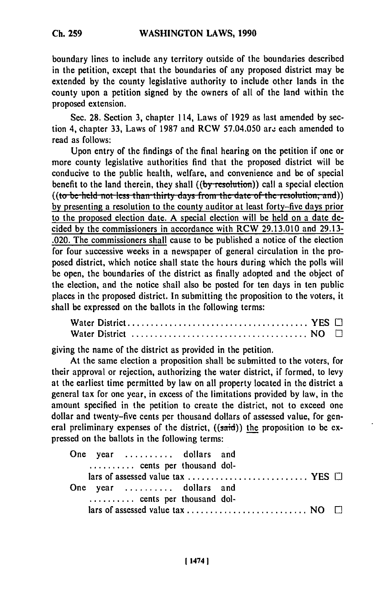boundary lines to include any territory outside of the boundaries described in the petition, except that the boundaries of any proposed district may be extended **by** the county legislative authority to include other lands in the county upon a petition signed **by** the owners of all of the land within the proposed extension.

Sec. **28.** Section **3,** chapter 114, Laws of **1929** as last amended **by** section 4, chapter **33,** Laws of **1987** and RCW **57.04.050** arz each amended to read as follows:

Upon entry of the findings of the final hearing on the petition if one or more county legislative authorities find that the proposed district will be conducive to the public health, welfare, and convenience and be of special benefit to the land therein, they shall  $((by resolution))$  call a special election **by** presenting a resolution to the county auditor at least forty-five days prior to the proposed election date. **A** special election will be held on a date decided **by** the commissioners in accordance with RCW **29.13.010** and **29.13-** .020. The commissioners shall cause to be published a notice of the election for four successive weeks in a newspaper of general circulation in the proposed district, which notice shall state the hours during which the polls will be open, the boundaries of the district as finally adopted and the object of the election, and the notice shall also be posted for ten days in ten public places in the proposed district. In submitting the proposition to the voters, it shall be expressed on the ballots in the following terms:

giving the name of the district as provided in the petition.

At the same election a proposition shall be submitted to the voters, for their approval or rejection, authorizing the water district, if formed, to levy at the earliest time permitted **by** law on all property located in the district a general tax for one year, in excess of the limitations provided **by** law, in the amount specified in the petition to create the district, not to exceed one dollar and twenty-five cents per thousand dollars of assessed value, for general preliminary expenses of the district,  $((said))$  the proposition to be expressed on the ballots in the following terms:

| One year  dollars and<br>cents per thousand dol- |  |  |
|--------------------------------------------------|--|--|
|                                                  |  |  |
| One year  dollars and                            |  |  |
| cents per thousand dol-                          |  |  |
|                                                  |  |  |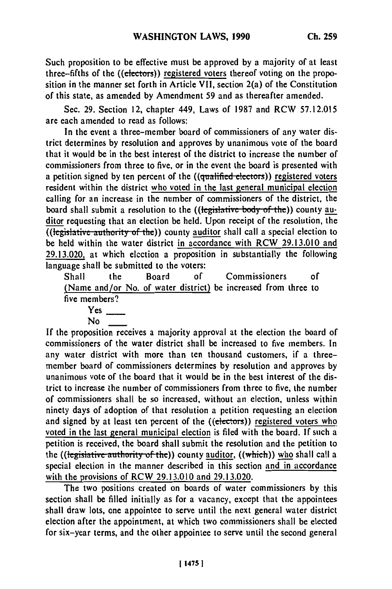Such proposition to be effective must be approved **by** a majority of at least three-fifths of the ((electors)) registered voters thereof voting on the proposition in the manner set forth in Article VII, section 2(a) of the Constitution of this state, as amended **by** Amendment **59** and as thereafter amended.

Sec. **29.** Section 12, chapter 449, Laws of **1987** and RCW **57.12.015** are each amended to read as follows:

In the event a three-member board of commissioners of any water district determines **by** resolution and approves **by** unanimous vote of the board that it would be in the best interest of the district to increase the number of commissioners from three to five, or in the event the board is presented with a petition signed by ten percent of the ((qualified electors)) registered voters resident within the district who voted in the last general municipal election calling for an increase in the number of commissioners of the district, the board shall submit a resolution to the ((legislative body of the)) county auditor requesting that an election be held. Upon receipt of the resolution, the ((legislative authority of the)) county auditor shall call a special election to be held within the water district in accordance with RCW **29.13.010** and **29.13.020,** at which election a proposition in substantially the following  $\frac{22.13.020}{20}$  at which cicenon a proposition and  $\frac{1}{2}$ 

Shall the Board **of** Commissioners **of** Shall the Board of Commissioners of<br>(Name and/or No. of water district) be increased from three to five members?

**If** the proposition receives a majority approval at the election the board of commissioners of the water district shall be increased to five members. In any water district with more than ten thousand customers, if a threemember board of commissioners determines **by** resolution and approves **by** unanimous vote of the board that it would be in the best interest of the district to increase the number of commissioners from three to five, the number of commissioners shall be so increased, without an election, unless within ninety days of adoption of that resolution a petition requesting an election and signed **by** at least ten percent of the ((electors)) registered voters who voted in the last general municipal election is **filed** with the board. **If** such a petition is received, the board shall submit the resolution and the petition to<br>the *(legislative authority of the*)) county auditor, *((which)*) who shall call a the (( $\frac{1}{2}$  election in the manner described in this section and in accordance special election in the manner described in this section and in accordance with the provisions of RCW **29.13.010** and **29.13.020.**

The two positions created on boards of water commissioners **by** this section shall **be** filled initially as for a vacancy, except that the appointees shall draw lots, one appointee to serve until the next general water district election after the appointment, at which two commissioners shall be elected for six-year terms, and the other appointee to serve until the second general

Yes

No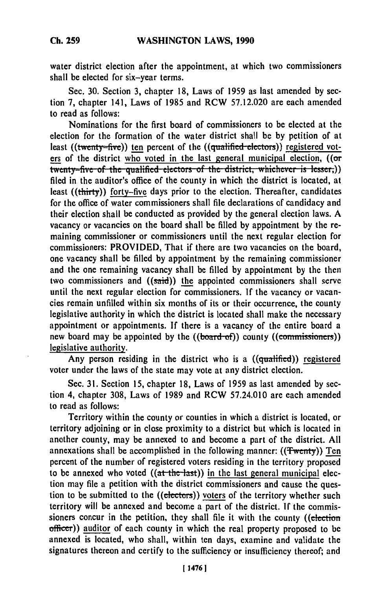water district election after the appointment, at which two commissioners shall be elected for six-year terms.

Sec. **30.** Section **3,** chapter **18,** Laws of **1959** as last amended **by** section **7,** chapter 141, Laws of **1985** and RCW **57.12.020** are each amended to read as follows:

Nominations for the first board of commissioners to be elected at the election for the formation of the water district shall be **by** petition of at least ((twenty-five)) ten percent of the ((qualified-electors)) registered voters of the district who voted in the last general municipal election, ((or fwenty-five of the qualified electors of the district, whichever is lesser,)) filed in the auditor's office of the county in which the district is located, at least ((thirty)) forty-five days prior to the election. Thereafter, candidates for the office of water commissioners shall file declarations of candidacy and their election shall be conducted as provided **by** the general election laws. **A** vacancy or vacancies on the board shall be filled **by** appointment **by** the remaining commissioner or commissioners until the next regular election for commissioners: PROVIDED, That if there are two vacancies on the board, one vacancy shall be filled **by** appointment **by** the remaining commissioner and the one remaining vacancy shall be filled **by** appointment **by** the then two commissioners and  $((s\ddot{\text{aid}}))$  the appointed commissioners shall serve until the next regular election for commissioners. **If** the vacancy or vacancies remain unfilled within six months of its or their occurrence, the county legislative authority in which the district is located shall make the necessary appointment or appointments. **If** there is a vacancy of the entire board a new board may be appointed by the ((board of)) county ((commissioners)) legislative authority.

Any person residing in the district who is a ((qualified)) registered voter under the laws of the state may vote at any district election.

Sec. **31.** Section **15,** chapter **18,** Laws of **1959** as last amended **by** section 4, chapter **308,** Laws of **1989** and RCW 57.24.010 are each amended to read as follows:

Territory within the county or counties in which a district is located, or territory adjoining or in close proximity to a district but which is located in another county, may be annexed to and become a part of the district. **All** annexations shall be accomplished in the following manner: ((Twenty)) Ten percent of the number of registered voters residing in the territory proposed to be annexed who voted  $((a<sup>t</sup> the <sup>l</sup>ast))$  in the last general municipal election may file a petition with the district commissioners and cause the question to be submitted to the ((electors)) voters of the territory whether such territory will be annexed and become a part of the district. **If** the commissioners concur in the petition, they shall file it with the county ((election officer)) auditor of each county in which the real property proposed to **be** annexed is located, who shall, within ten days, examine and validate the signatures thereon and certify to the sufficiency or insufficiency thereof; and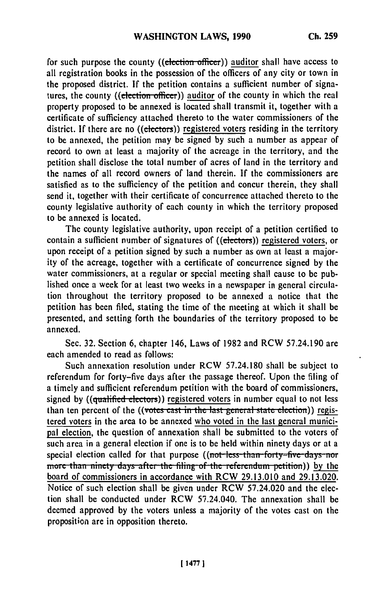for such purpose the county ((election-officer)) **auditor** shall have access to all registration books in the possession of the officers of any city or town in the proposed district. If the petition contains a sufficient number of signatures, the county ((election officer)) auditor of the county in which the real property proposed to be annexed is located shall transmit it, together with a certificate of sufficiency attached thereto to the water commissioners of the district. If there are no ((electors)) registered voters residing in the territory to be annexed, the petition may be signed by such a number as appear of record to own at least a majority of the acreage in the territory, and the petition shall disclose the total number of acres of land in the territory and the names of all record owners of land therein. If the commissioners are satisfied as to the sufficiency of the petition and concur therein, they shall send it, together with their certificate of concurrence attached thereto to the county legislative authority of each county in which the territory proposed to be annexed is located.

The county legislative authority, upon receipt of a petition certified to contain a sufficient number of signatures of ((electors)) registered voters, or upon receipt of a petition signed by such a number as own at least a majority of the acreage, together with a certificate of concurrence signed by the water commissioners, at a regular or special meeting shall cause to be published once a week for at least two weeks in a newspaper in general circulation throughout the territory proposed to be annexed a notice that the petition has been filed, stating the time of the meeting at which it shall be presented, and setting forth the boundaries of the territory proposed to be annexed.

Sec. 32. Section 6, chapter 146, Laws of 1982 and RCW 57.24.190 are each amended to read as follows:

Such annexation resolution under RCW 57.24.180 shall be subject to referendum for forty-five days after the passage thereof. Upon the filing of a timely and sufficient referendum petition with the board of commissioners, signed by ((qualified electors)) registered voters in number equal to not less than ten percent of the ((votes cast in the last general state election)) registered voters in the area to be annexed who voted in the last general municipal election, the question of annexation shall be submitted to the voters of such area in a general election if one is to be held within ninety days or at a special election called for that purpose ((not less than forty-five days nor *more than ninety days after the filing of the referendum petition)) by the* board of commissioners in accordance with RCW 29.13.010 and 29.13.020. Notice of such election shall be given under RCW 57.24.020 and the election shall be conducted under RCW 57.24.040. The annexation shall be deemed approved by the voters unless a majority of the votes cast on the proposition are in opposition thereto.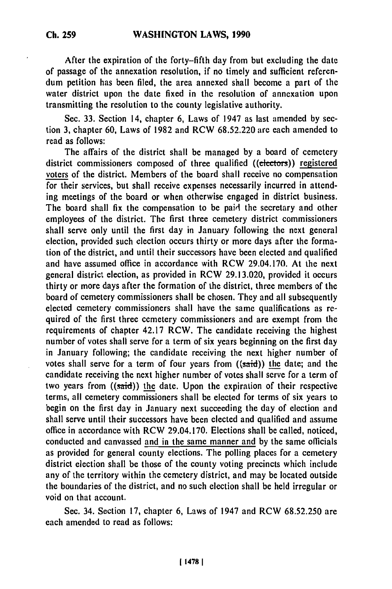After the expiration of the forty-fifth day from but excluding the date of passage of the annexation resolution, if no timely and sufficient referendum petition has been filed, the area annexed shall become a part of the water district upon the date fixed in the resolution of annexation upon transmitting the resolution to the county legislative authority.

Sec. 33. Section 14, chapter 6, Laws of 1947 as last amended by section 3, chapter 60, Laws of 1982 and RCW 68.52.220 are each amended to read as follows:

The affairs of the district shall be managed by a board of cemetery district commissioners composed of three qualified ((electors)) registered voters of the district. Members of the board shall receive no compensation for their services, but shall receive expenses necessarily incurred in attending meetings of the board or when otherwise engaged in district business. The board shall fix the compensation to be paid the secretary and other employees of the district. The first three cemetery district commissioners shall serve only until the first day in January following the next general election, provided such election occurs thirty or more days after the formation of the district, and until their successors have been elected and qualified and have assumed office in accordance with RCW 29.04.170. At the next general district election, as provided in RCW 29.13.020, provided it occurs thirty or more days after the formation of the district, three members of the board of cemetery commissioners shall be chosen. They and all subsequently elected cemetery commissioners shall have the same qualifications as required of the first three cemetery commissioners and are exempt from the requirements of chapter 42.17 RCW. The candidate receiving the highest number of votes shall serve for a term of six years beginning on the first day in January following; the candidate receiving the next higher number of votes shall serve for a term of four years from ((said)) the date; and the candidate receiving the next higher number of votes shall serve for a term of two years from  $((said))$  the date. Upon the expiration of their respective terms, all cemetery commissioners shall be elected for terms of six years to begin on the first day in January next succeeding the day of election and shall serve until their successors have been elected and qualified and assume office in accordance with RCW 29.04.170. Elections shall be called, noticed, conducted and canvassed and in the same manner and by the same officials as provided for general county elections. The polling places for a cemetery district election shall be those of the county voting precincts which include any of the territory within the cemetery district, and may be located outside the boundaries of the district, and no such election shall be held irregular or void on that account.

Sec. 34. Section 17, chapter 6, Laws of 1947 and RCW 68.52.250 are each amended to read as follows: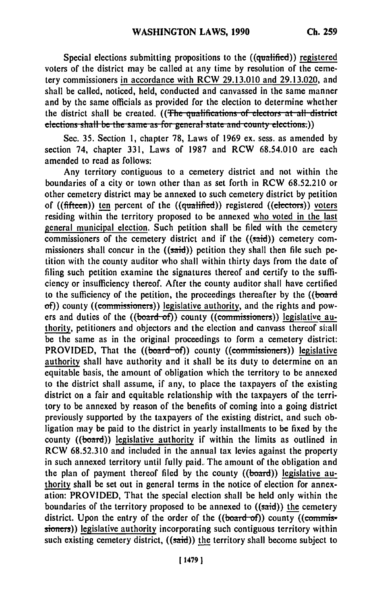Special elections submitting propositions to the ((qualified)) registered voters of the district may be called at any time **by** resolution of the cemetery commissioners in accordance with RCW **29.13.010** and **29.13.020,** and shall be called, noticed, held, conducted and canvassed in the same manner and **by** the same officials as provided for the election to determine whether the district shall be created. ((The qualifications of electors at all district elections shall be the same as for general state and county elections.))

Sec. **35.** Section **1,** chapter **78,** Laws of **1969** ex. sess. as amended **by** section 74, chapter **331,** Laws of **1987** and RCW **68.54.010** are each amended to read as follows:

Any territory contiguous to a cemetery district and not within the boundaries of a city or town other than as set forth in RCW **68.52.210** or other cemetery district may be annexed to such cemetery district **by** petition of ((fifteen)) ten percent of the ((qualified)) registered ((electors)) voters residing within the territory proposed to be annexed who voted in the last general municipal election. Such petition shall be filed with the cemetery commissioners of the cemetery district and if the  $((said))$  cemetery commissioners shall concur in the  $((said))$  petition they shall then file such petition with the county auditor who shall within thirty days from the date of filing such petition examine the signatures thereof and certify to the sufficiency or insufficiency thereof. After the county auditor shall have certified to the sufficiency of the petition, the proceedings thereafter **by** the ((board of)) county ((commissioners)) legislative authority, and the rights and powers and duties of the ((board-of)) county ((commissioners)) legislative authority, petitioners and objectors and the election and canvass thereof shall be the same as in the original proceedings to form a cemetery district: PROVIDED, That the ((board-of)) county ((commissioners)) legislative authority shall have authority and it shall be its duty to determine on an equitable basis, the amount of obligation which the territory to be annexed to the district shall assume, if any, to place the taxpayers of the existing district on a fair and equitable relationship with the taxpayers of the territory to be annexed **by** reason of the benefits of coming into a going district previously supported **by** the taxpayers of the existing district, and such obligation may be paid to the district in yearly installments to be fixed **by** the county  $((\text{board}))$  legislative authority if within the limits as outlined in RCW **68.52.310** and included in the annual tax levies against the property in such annexed territory until fully paid. The amount of the obligation and the plan of payment thereof filed **by** the county ((board)) legislative authority shall be set out in general terms in the notice of election for annexation: PROVIDED, That the special election shall be held only within the boundaries of the territory proposed to be annexed to ((said)) **the** cemetery district. Upon the entry of the order of the ((board-of)) county ((commissioners)) legislative authority incorporating such contiguous territory within such existing cemetery district, ((said)) the territory shall become subject to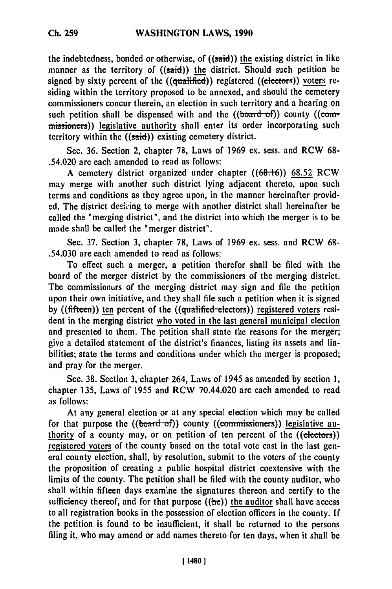the indebtedness, bonded or otherwise, of  $((said))$  the existing district in like manner as the territory of  $((said))$  the district. Should such petition be signed by sixty percent of the ((qualified)) registered ((electors)) voters residing within the territory proposed to be annexed, and should the cemetery commissioners concur therein, an election in such territory and a hearing on such petition shall be dispensed with and the  $((*board-of*))$  county  $((*com*$ missioners)) legislative authority shall enter its order incorporating such territory within the  $((said))$  existing cemetery district.

Sec. **36.** Section 2, chapter **78,** Laws of **1969** ex. sess. and RCW **68-** .54.020 are each amended to read as follows:

A cemetery district organized under chapter **((68.16)) 68.52** RCW may merge with another such district lying adjacent thereto, upon such terms and conditions as they agree upon, in the manner hereinafter provided. The district desiring to merge with another district shall hereinafter be called the "merging district", and the district into which the merger is to be made shall be called the "merger district".

Sec. **37.** Section **3,** chapter **78,** Laws of **1969 ex.** sess. and RCW **68-** .54.030 are each amended to read as follows:

To effect such a merger, a petition therefor shall be filed with the board of the merger district **by** the commissioners of the merging district. The commissioners of the merging district may sign and file the petition upon their own initiative, and they shall file such a petition when it is signed by ((fifteen)) ten percent of the ((qualified-electors)) registered voters resident in the merging district who voted in the last general municipal election and presented to them. The petition shall state the reasons for the merger; give a detailed statement of the district's finances, listing its assets and liabilities; state the terms and conditions under which the merger is proposed; and pray for the merger.

Sec. **38.** Section **3,** chapter 264, Laws of 1945 as amended **by** section **1,** chapter **135,** Laws of **1955** and RCW 70.44.020 are each amended to read as follows:

At any general election or at any special election which may be called for that purpose the ((board-of)) county ((commissioners)) legislative authority of a county may, or on petition of ten percent of the ((electors)) registered voters of the county based on the total vote cast in the last general county election, shall, by resolution, submit to the voters of the county the proposition of creating a public hospital district coextensive with the limits of the county. The petition shall be filed with the county auditor, who shall within fifteen days examine the signatures thereon and certify to the sufficiency thereof, and for that purpose  $((he))$  the auditor shall have access to all registration books in the possession of election officers in the county. If the petition is found to be insufficient, it shall be returned to the persons filing it, who may amend or add names thereto for ten days, when it shall be

1 **14801**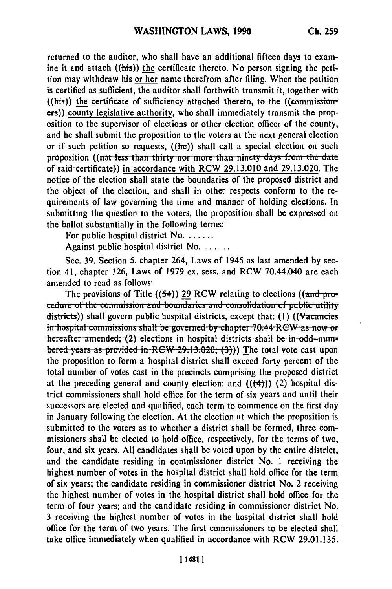returned to the auditor, who shall have an additional fifteen days to examine it and attach  $((\overline{\text{his}}))$  the certificate thereto. No person signing the petition may withdraw his or her name therefrom after filing. When the petition is certified as sufficient, the auditor shall forthwith transmit it, together with  $((this))$  the certificate of sufficiency attached thereto, to the  $((commission$ **rs))** county legislative authority, who shall immediately transmit the proposition to the supervisor of elections or other election officer of the county, and he shall submit the proposition to the voters at the next general election or if such petition so requests, **((be))** shall call a special election on such proposition ((not less than thirty nor more than ninety days from the date of sid **citifi ))** in accordance with RCW **29.13.010** and **29.13.020.** The notice of the election shall state the boundaries of the proposed district and the object of the election, and shall in other respects conform to the requirements of law governing the time and manner of holding elections. In submitting the question to the voters, the proposition shall be expressed on the ballot substantially in the following terms:

For public hospital district No. . . . . . .

Against public hospital district No. . . . . . .

Sec. 39. Section 5, chapter 264, Laws of 1945 as last amended by section 41, chapter 126, Laws of 1979 ex. sess. and RCW 70.44.040 are each amended to read as follows:

The provisions of Title ((54)) 29 RCW relating to elections ((and pro-<br>cedure of the commission and boundaries and consolidation of public utility cedure of the commission and-boundaries and consolidation of public utility<br>districts)) shall govern public hospital districts, except that: (1) ((Vacancies in hospital commissions shall be governed by chapter 70.44 RCW as now or hereafter amended; (2) elections in hospital districts shall be in odd=numbered years as provided in RCW 29.13.020; (3))) The total vote cast upon the proposition to form a hospital district shall exceed forty percent of the total number of votes cast in the precincts comprising the proposed district at the preceding general and county election; and  $((\leftarrow{4}))$  (2) hospital district commissioners shall hold office for the term of six years and until their successors are elected and qualified, each term to commence on the first day in January following the election. At the election at which the proposition is submitted to the voters as to whether a district shall be formed, three commissioners shall be elected to hold office, respectively, for the terms of two, four, and six years. **All** candidates shall be voted upon **by** the entire district, and the candidate residing in commissioner district No. **1** receiving the highest number of votes in the hospital district shall hold office for the term of six years; the candidate residing in commissioner district No. 2 receiving the highest number of votes in the hospital district shall hold office for the term of four years; and the candidate residing in commissioner district No. **3** receiving the highest number of votes in the hospital district shall hold office for the term of two years. The first commissioners to be elected shall take office immediately when qualified in accordance with RCW **29.01.135.**